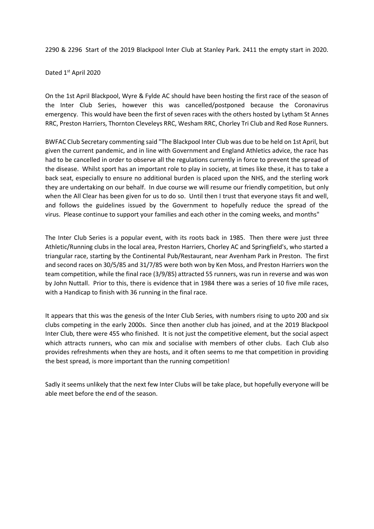2290 & 2296 Start of the 2019 Blackpool Inter Club at Stanley Park. 2411 the empty start in 2020.

Dated 1st April 2020

On the 1st April Blackpool, Wyre & Fylde AC should have been hosting the first race of the season of the Inter Club Series, however this was cancelled/postponed because the Coronavirus emergency. This would have been the first of seven races with the others hosted by Lytham St Annes RRC, Preston Harriers, Thornton Cleveleys RRC, Wesham RRC, Chorley Tri Club and Red Rose Runners.

BWFAC Club Secretary commenting said "The Blackpool Inter Club was due to be held on 1st April, but given the current pandemic, and in line with Government and England Athletics advice, the race has had to be cancelled in order to observe all the regulations currently in force to prevent the spread of the disease. Whilst sport has an important role to play in society, at times like these, it has to take a back seat, especially to ensure no additional burden is placed upon the NHS, and the sterling work they are undertaking on our behalf. In due course we will resume our friendly competition, but only when the All Clear has been given for us to do so. Until then I trust that everyone stays fit and well, and follows the guidelines issued by the Government to hopefully reduce the spread of the virus. Please continue to support your families and each other in the coming weeks, and months"

The Inter Club Series is a popular event, with its roots back in 1985. Then there were just three Athletic/Running clubs in the local area, Preston Harriers, Chorley AC and Springfield's, who started a triangular race, starting by the Continental Pub/Restaurant, near Avenham Park in Preston. The first and second races on 30/5/85 and 31/7/85 were both won by Ken Moss, and Preston Harriers won the team competition, while the final race (3/9/85) attracted 55 runners, was run in reverse and was won by John Nuttall. Prior to this, there is evidence that in 1984 there was a series of 10 five mile races, with a Handicap to finish with 36 running in the final race.

It appears that this was the genesis of the Inter Club Series, with numbers rising to upto 200 and six clubs competing in the early 2000s. Since then another club has joined, and at the 2019 Blackpool Inter Club, there were 455 who finished. It is not just the competitive element, but the social aspect which attracts runners, who can mix and socialise with members of other clubs. Each Club also provides refreshments when they are hosts, and it often seems to me that competition in providing the best spread, is more important than the running competition!

Sadly it seems unlikely that the next few Inter Clubs will be take place, but hopefully everyone will be able meet before the end of the season.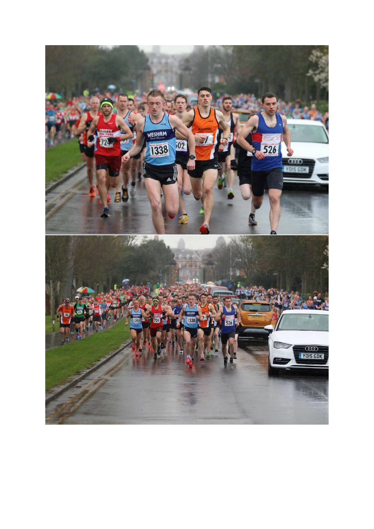